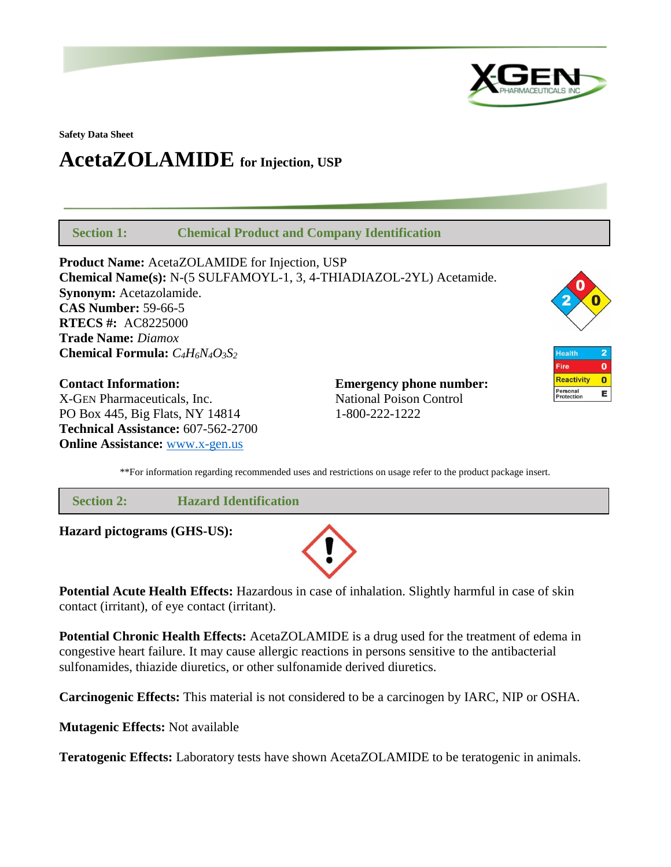

**Safety Data Sheet**

# **AcetaZOLAMIDE for Injection, USP**

 **Section 1: Chemical Product and Company Identification**

**Product Name:** AcetaZOLAMIDE for Injection, USP **Chemical Name(s):** N-(5 SULFAMOYL-1, 3, 4-THIADIAZOL-2YL) Acetamide. **Synonym:** Acetazolamide. **CAS Number:** 59-66-5 **RTECS #:** AC8225000 **Trade Name:** *Diamox* **Chemical Formula:** *C4H6N4O3S<sup>2</sup>*

**Contact Information: Emergency phone number:** X-GEN Pharmaceuticals, Inc. National Poison Control PO Box 445, Big Flats, NY 14814 1-800-222-1222 **Technical Assistance:** 607-562-2700 **Online Assistance:** [www.x-gen.us](http://www.x-gen.us/)



**Health**  $\overline{\mathbf{2}}$  $\overline{\mathbf{o}}$ Fire **Reactivity**  $\bullet$ Personal<br>Protection E

\*\*For information regarding recommended uses and restrictions on usage refer to the product package insert.

| <b>Section 2:</b>           | <b>Hazard Identification</b> |  |
|-----------------------------|------------------------------|--|
| Hazard pictograms (GHS-US): |                              |  |



**Potential Acute Health Effects:** Hazardous in case of inhalation. Slightly harmful in case of skin contact (irritant), of eye contact (irritant).

**Potential Chronic Health Effects:** AcetaZOLAMIDE is a drug used for the treatment of edema in congestive heart failure. It may cause allergic reactions in persons sensitive to the antibacterial sulfonamides, thiazide diuretics, or other sulfonamide derived diuretics.

**Carcinogenic Effects:** This material is not considered to be a carcinogen by IARC, NIP or OSHA.

**Mutagenic Effects:** Not available

**Teratogenic Effects:** Laboratory tests have shown AcetaZOLAMIDE to be teratogenic in animals.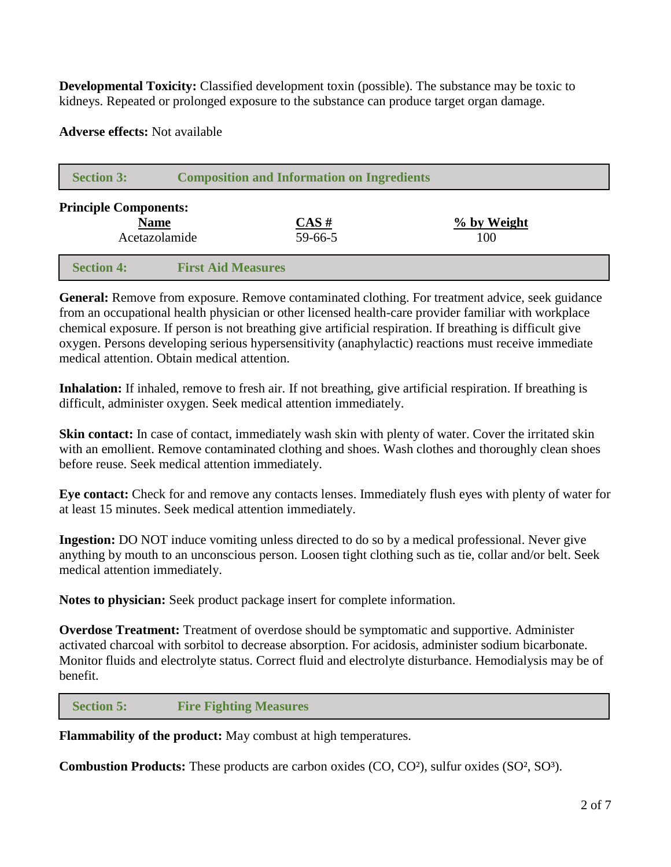**Developmental Toxicity:** Classified development toxin (possible). The substance may be toxic to kidneys. Repeated or prolonged exposure to the substance can produce target organ damage.

**Adverse effects:** Not available

| <b>Section 3:</b>            | <b>Composition and Information on Ingredients</b> |                                     |                                |  |  |
|------------------------------|---------------------------------------------------|-------------------------------------|--------------------------------|--|--|
| <b>Principle Components:</b> | <b>Name</b><br>Acetazolamide                      | $\overline{CAS}$ #<br>$59 - 66 - 5$ | $\frac{9}{6}$ by Weight<br>100 |  |  |
| <b>Section 4:</b>            | <b>First Aid Measures</b>                         |                                     |                                |  |  |

**General:** Remove from exposure. Remove contaminated clothing. For treatment advice, seek guidance from an occupational health physician or other licensed health-care provider familiar with workplace chemical exposure. If person is not breathing give artificial respiration. If breathing is difficult give oxygen. Persons developing serious hypersensitivity (anaphylactic) reactions must receive immediate medical attention. Obtain medical attention.

**Inhalation:** If inhaled, remove to fresh air. If not breathing, give artificial respiration. If breathing is difficult, administer oxygen. Seek medical attention immediately.

**Skin contact:** In case of contact, immediately wash skin with plenty of water. Cover the irritated skin with an emollient. Remove contaminated clothing and shoes. Wash clothes and thoroughly clean shoes before reuse. Seek medical attention immediately.

**Eye contact:** Check for and remove any contacts lenses. Immediately flush eyes with plenty of water for at least 15 minutes. Seek medical attention immediately.

**Ingestion:** DO NOT induce vomiting unless directed to do so by a medical professional. Never give anything by mouth to an unconscious person. Loosen tight clothing such as tie, collar and/or belt. Seek medical attention immediately.

**Notes to physician:** Seek product package insert for complete information.

**Overdose Treatment:** Treatment of overdose should be symptomatic and supportive. Administer activated charcoal with sorbitol to decrease absorption. For acidosis, administer sodium bicarbonate. Monitor fluids and electrolyte status. Correct fluid and electrolyte disturbance. Hemodialysis may be of benefit.

 **Section 5: Fire Fighting Measures**

**Flammability of the product:** May combust at high temperatures.

**Combustion Products:** These products are carbon oxides (CO, CO²), sulfur oxides (SO², SO³).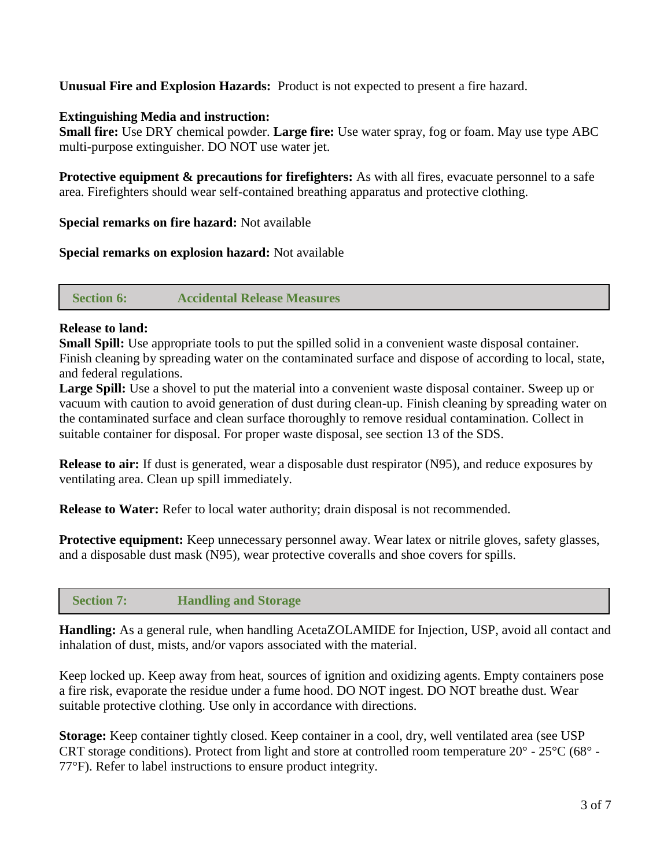# **Unusual Fire and Explosion Hazards:** Product is not expected to present a fire hazard.

#### **Extinguishing Media and instruction:**

**Small fire:** Use DRY chemical powder. **Large fire:** Use water spray, fog or foam. May use type ABC multi-purpose extinguisher. DO NOT use water jet.

**Protective equipment & precautions for firefighters:** As with all fires, evacuate personnel to a safe area. Firefighters should wear self-contained breathing apparatus and protective clothing.

**Special remarks on fire hazard:** Not available

**Special remarks on explosion hazard:** Not available

 **Section 6: Accidental Release Measures**

## **Release to land:**

**Small Spill:** Use appropriate tools to put the spilled solid in a convenient waste disposal container. Finish cleaning by spreading water on the contaminated surface and dispose of according to local, state, and federal regulations.

**Large Spill:** Use a shovel to put the material into a convenient waste disposal container. Sweep up or vacuum with caution to avoid generation of dust during clean-up. Finish cleaning by spreading water on the contaminated surface and clean surface thoroughly to remove residual contamination. Collect in suitable container for disposal. For proper waste disposal, see section 13 of the SDS.

**Release to air:** If dust is generated, wear a disposable dust respirator (N95), and reduce exposures by ventilating area. Clean up spill immediately.

**Release to Water:** Refer to local water authority; drain disposal is not recommended.

**Protective equipment:** Keep unnecessary personnel away. Wear latex or nitrile gloves, safety glasses, and a disposable dust mask (N95), wear protective coveralls and shoe covers for spills.

# **Section 7: Handling and Storage**

**Handling:** As a general rule, when handling AcetaZOLAMIDE for Injection, USP, avoid all contact and inhalation of dust, mists, and/or vapors associated with the material.

Keep locked up. Keep away from heat, sources of ignition and oxidizing agents. Empty containers pose a fire risk, evaporate the residue under a fume hood. DO NOT ingest. DO NOT breathe dust. Wear suitable protective clothing. Use only in accordance with directions.

**Storage:** Keep container tightly closed. Keep container in a cool, dry, well ventilated area (see USP CRT storage conditions). Protect from light and store at controlled room temperature 20° - 25°C (68° - 77°F). Refer to label instructions to ensure product integrity.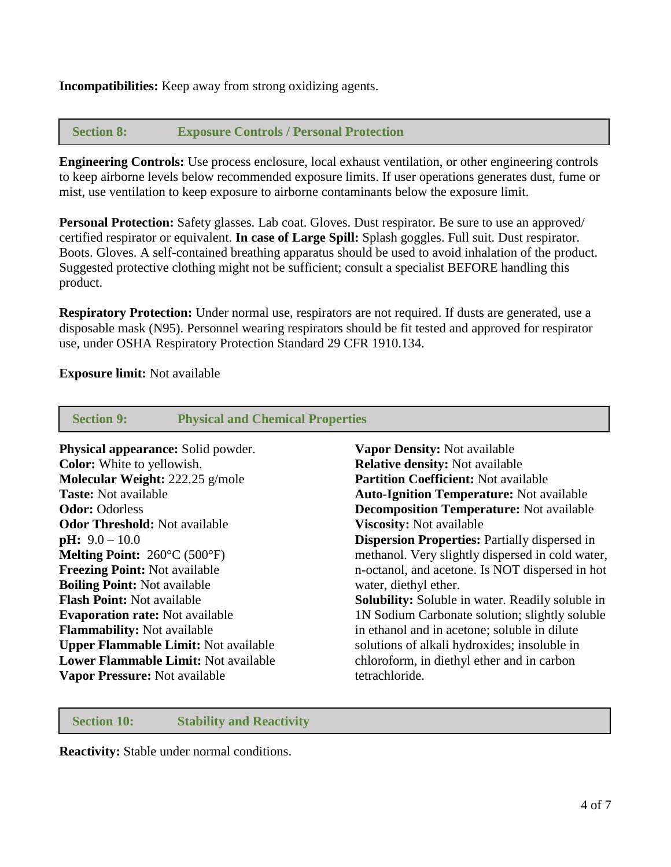**Incompatibilities:** Keep away from strong oxidizing agents.

### **Section 8: Exposure Controls / Personal Protection**

**Engineering Controls:** Use process enclosure, local exhaust ventilation, or other engineering controls to keep airborne levels below recommended exposure limits. If user operations generates dust, fume or mist, use ventilation to keep exposure to airborne contaminants below the exposure limit.

**Personal Protection:** Safety glasses. Lab coat. Gloves. Dust respirator. Be sure to use an approved/ certified respirator or equivalent. **In case of Large Spill:** Splash goggles. Full suit. Dust respirator. Boots. Gloves. A self-contained breathing apparatus should be used to avoid inhalation of the product. Suggested protective clothing might not be sufficient; consult a specialist BEFORE handling this product.

**Respiratory Protection:** Under normal use, respirators are not required. If dusts are generated, use a disposable mask (N95). Personnel wearing respirators should be fit tested and approved for respirator use, under OSHA Respiratory Protection Standard 29 CFR 1910.134.

#### **Exposure limit:** Not available

| <b>Section 9:</b>                             | <b>Physical and Chemical Properties</b> |                                                         |  |
|-----------------------------------------------|-----------------------------------------|---------------------------------------------------------|--|
| <b>Physical appearance:</b> Solid powder.     |                                         | <b>Vapor Density: Not available</b>                     |  |
| <b>Color:</b> White to yellowish.             |                                         | <b>Relative density:</b> Not available                  |  |
| Molecular Weight: 222.25 g/mole               |                                         | <b>Partition Coefficient: Not available</b>             |  |
| <b>Taste:</b> Not available                   |                                         | <b>Auto-Ignition Temperature:</b> Not available         |  |
| <b>Odor: Odorless</b>                         |                                         | <b>Decomposition Temperature:</b> Not available         |  |
| <b>Odor Threshold:</b> Not available          |                                         | <b>Viscosity:</b> Not available                         |  |
| $pH: 9.0 - 10.0$                              |                                         | <b>Dispersion Properties: Partially dispersed in</b>    |  |
| <b>Melting Point:</b> $260^{\circ}$ C (500°F) |                                         | methanol. Very slightly dispersed in cold water,        |  |
| <b>Freezing Point: Not available</b>          |                                         | n-octanol, and acetone. Is NOT dispersed in hot         |  |
| <b>Boiling Point: Not available</b>           |                                         | water, diethyl ether.                                   |  |
| <b>Flash Point: Not available</b>             |                                         | <b>Solubility:</b> Soluble in water. Readily soluble in |  |
| <b>Evaporation rate:</b> Not available        |                                         | 1N Sodium Carbonate solution; slightly soluble          |  |
| <b>Flammability:</b> Not available            |                                         | in ethanol and in acetone; soluble in dilute            |  |
| <b>Upper Flammable Limit: Not available</b>   |                                         | solutions of alkali hydroxides; insoluble in            |  |
| Lower Flammable Limit: Not available          |                                         | chloroform, in diethyl ether and in carbon              |  |
| Vapor Pressure: Not available                 |                                         | tetrachloride.                                          |  |
|                                               |                                         |                                                         |  |

#### **Section 10: Stability and Reactivity**

**Reactivity:** Stable under normal conditions.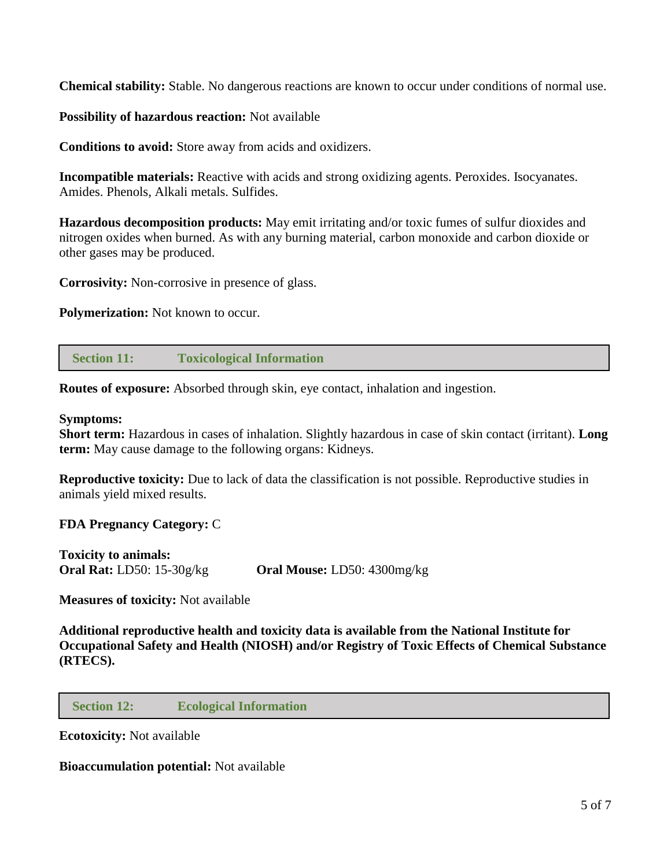**Chemical stability:** Stable. No dangerous reactions are known to occur under conditions of normal use.

**Possibility of hazardous reaction:** Not available

**Conditions to avoid:** Store away from acids and oxidizers.

**Incompatible materials:** Reactive with acids and strong oxidizing agents. Peroxides. Isocyanates. Amides. Phenols, Alkali metals. Sulfides.

**Hazardous decomposition products:** May emit irritating and/or toxic fumes of sulfur dioxides and nitrogen oxides when burned. As with any burning material, carbon monoxide and carbon dioxide or other gases may be produced.

**Corrosivity:** Non-corrosive in presence of glass.

**Polymerization:** Not known to occur.

 **Section 11: Toxicological Information**

**Routes of exposure:** Absorbed through skin, eye contact, inhalation and ingestion.

#### **Symptoms:**

**Short term:** Hazardous in cases of inhalation. Slightly hazardous in case of skin contact (irritant). **Long term:** May cause damage to the following organs: Kidneys.

**Reproductive toxicity:** Due to lack of data the classification is not possible. Reproductive studies in animals yield mixed results.

**FDA Pregnancy Category:** C

**Toxicity to animals: Oral Rat:** LD50: 15-30g/kg **Oral Mouse:** LD50: 4300mg/kg

**Measures of toxicity:** Not available

**Additional reproductive health and toxicity data is available from the National Institute for Occupational Safety and Health (NIOSH) and/or Registry of Toxic Effects of Chemical Substance (RTECS).**

 **Section 12: Ecological Information**

**Ecotoxicity:** Not available

**Bioaccumulation potential:** Not available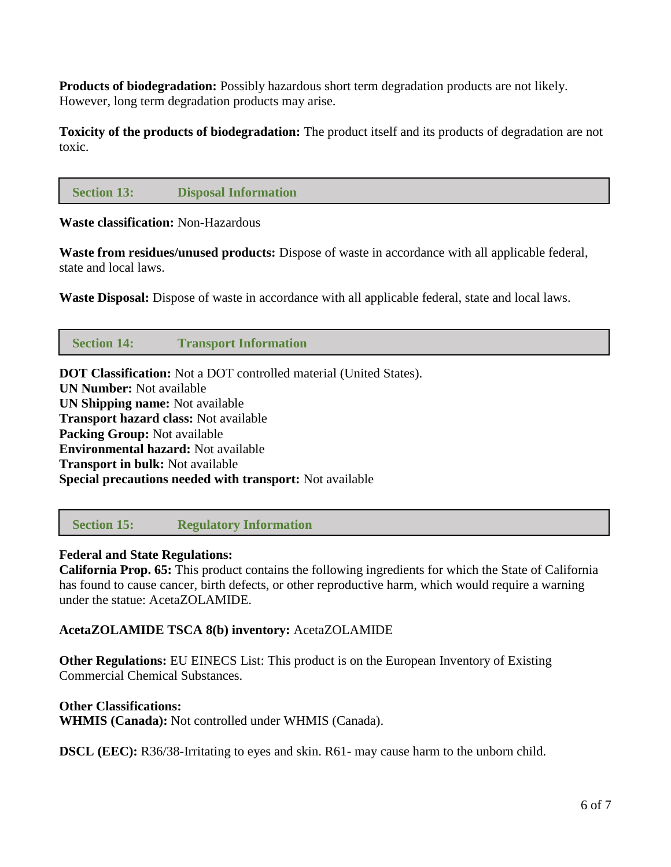**Products of biodegradation:** Possibly hazardous short term degradation products are not likely. However, long term degradation products may arise.

**Toxicity of the products of biodegradation:** The product itself and its products of degradation are not toxic.

## **Section 13: Disposal Information**

**Waste classification:** Non-Hazardous

**Waste from residues/unused products:** Dispose of waste in accordance with all applicable federal, state and local laws.

**Waste Disposal:** Dispose of waste in accordance with all applicable federal, state and local laws.

## **Section 14: Transport Information**

**DOT Classification:** Not a DOT controlled material (United States). **UN Number:** Not available **UN Shipping name:** Not available **Transport hazard class:** Not available **Packing Group:** Not available **Environmental hazard:** Not available **Transport in bulk:** Not available **Special precautions needed with transport:** Not available

 **Section 15: Regulatory Information**

#### **Federal and State Regulations:**

**California Prop. 65:** This product contains the following ingredients for which the State of California has found to cause cancer, birth defects, or other reproductive harm, which would require a warning under the statue: AcetaZOLAMIDE.

#### **AcetaZOLAMIDE TSCA 8(b) inventory:** AcetaZOLAMIDE

**Other Regulations:** EU EINECS List: This product is on the European Inventory of Existing Commercial Chemical Substances.

#### **Other Classifications:**

**WHMIS (Canada):** Not controlled under WHMIS (Canada).

**DSCL (EEC):** R36/38-Irritating to eyes and skin. R61- may cause harm to the unborn child.